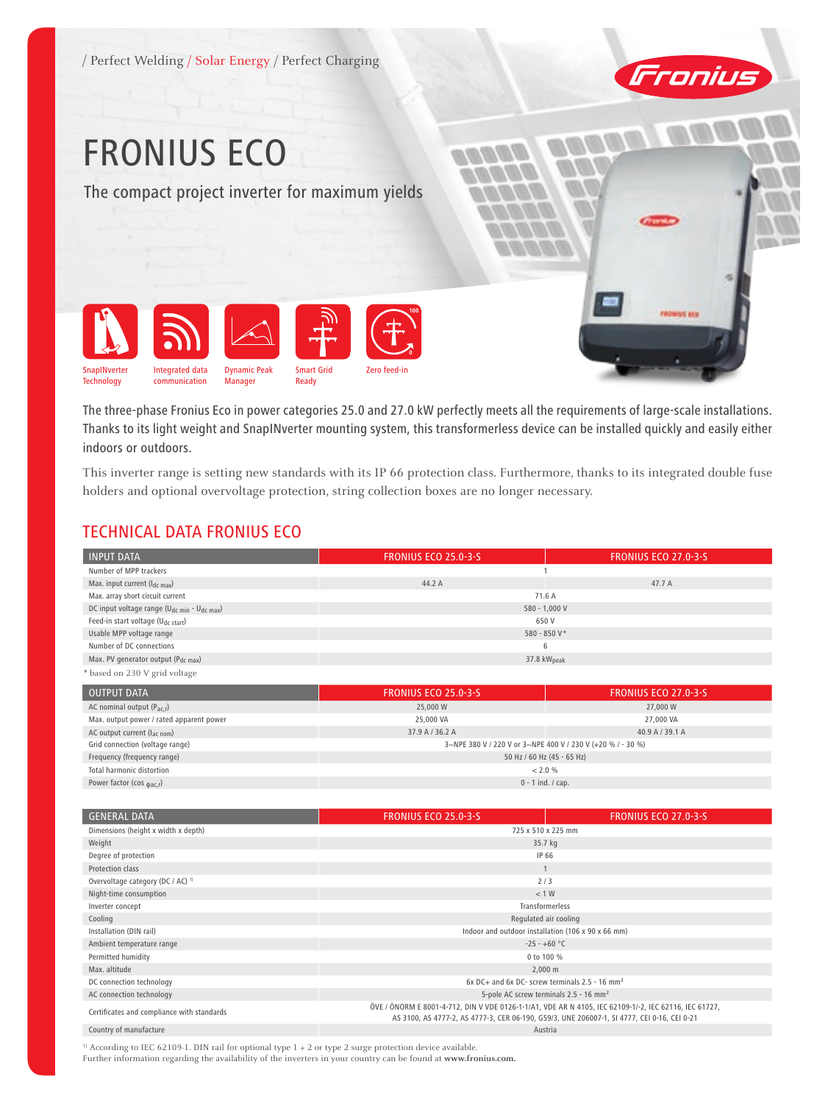

The three-phase Fronius Eco in power categories 25.0 and 27.0 kW perfectly meets all the requirements of large-scale installations. Thanks to its light weight and SnapINverter mounting system, this transformerless device can be installed quickly and easily either indoors or outdoors.

This inverter range is setting new standards with its IP 66 protection class. Furthermore, thanks to its integrated double fuse holders and optional overvoltage protection, string collection boxes are no longer necessary.

### TECHNICAL DATA FRONIUS ECO

| <b>INPUT DATA</b>                                                   | <b>FRONIUS ECO 25.0-3-S</b> | <b>FRONIUS ECO 27.0-3-5</b> |
|---------------------------------------------------------------------|-----------------------------|-----------------------------|
| Number of MPP trackers                                              |                             |                             |
| Max. input current $(I_{dc\ max})$                                  | 44.2 A                      | 47.7 A                      |
| Max. array short circuit current                                    | 71.6 A                      |                             |
| DC input voltage range (U <sub>dc min</sub> - U <sub>dc max</sub> ) | 580 - 1,000 V               |                             |
| Feed-in start voltage (U <sub>dc start</sub> )                      | 650 V                       |                             |
| Usable MPP voltage range                                            | 580 - 850 V*                |                             |
| Number of DC connections                                            | 6                           |                             |
| Max. PV generator output (P <sub>dc max</sub> )                     | 37.8 $kWpeak$               |                             |
| * based on 230 V grid voltage                                       |                             |                             |

| <b>OUTPUT DATA</b>                         | <b>FRONIUS ECO 25.0-3-5</b>                                 | <b>FRONIUS ECO 27.0-3-5</b> |
|--------------------------------------------|-------------------------------------------------------------|-----------------------------|
| AC nominal output (P <sub>ac.r</sub> )     | 25,000 W                                                    | 27,000 W                    |
| Max. output power / rated apparent power   | 25,000 VA                                                   | 27,000 VA                   |
| AC output current $(l_{\text{ac nom}})$    | 37.9 A / 36.2 A                                             | 40.9 A / 39.1 A             |
| Grid connection (voltage range)            | 3~NPE 380 V / 220 V or 3~NPE 400 V / 230 V (+20 % / - 30 %) |                             |
| Frequency (frequency range)                | 50 Hz / 60 Hz (45 - 65 Hz)                                  |                             |
| Total harmonic distortion                  | < 2.0 %                                                     |                             |
| Power factor ( $cos \phi_{\text{acc,r}}$ ) | $0 - 1$ ind. / cap.                                         |                             |

| <b>GENERAL DATA</b>                          | <b>FRONIUS ECO 25.0-3-S</b>                                                                                                                                                                          | <b>FRONIUS ECO 27.0-3-5</b> |
|----------------------------------------------|------------------------------------------------------------------------------------------------------------------------------------------------------------------------------------------------------|-----------------------------|
| Dimensions (height x width x depth)          | 725 x 510 x 225 mm                                                                                                                                                                                   |                             |
| Weight                                       | 35.7 kg                                                                                                                                                                                              |                             |
| Degree of protection                         | IP 66                                                                                                                                                                                                |                             |
| Protection class                             |                                                                                                                                                                                                      |                             |
| Overvoltage category (DC / AC) <sup>1)</sup> | 2/3                                                                                                                                                                                                  |                             |
| Night-time consumption                       | < 1 W                                                                                                                                                                                                |                             |
| Inverter concept                             | Transformerless                                                                                                                                                                                      |                             |
| Cooling                                      | Regulated air cooling                                                                                                                                                                                |                             |
| Installation (DIN rail)                      | Indoor and outdoor installation (106 x 90 x 66 mm)                                                                                                                                                   |                             |
| Ambient temperature range                    | $-25 - +60 °C$                                                                                                                                                                                       |                             |
| Permitted humidity                           | 0 to 100 %                                                                                                                                                                                           |                             |
| Max. altitude                                | $2,000 \; \text{m}$                                                                                                                                                                                  |                             |
| DC connection technology                     | 6x DC+ and 6x DC- screw terminals 2.5 - 16 mm <sup>2</sup>                                                                                                                                           |                             |
| AC connection technology                     | 5-pole AC screw terminals 2.5 - 16 mm <sup>2</sup>                                                                                                                                                   |                             |
| Certificates and compliance with standards   | ÖVE / ÖNORM E 8001-4-712, DIN V VDE 0126-1-1/A1, VDE AR N 4105, IEC 62109-1/-2, IEC 62116, IEC 61727,<br>AS 3100, AS 4777-2, AS 4777-3, CER 06-190, G59/3, UNE 206007-1, SI 4777, CEI 0-16, CEI 0-21 |                             |
| Country of manufacture                       | Austria                                                                                                                                                                                              |                             |

<sup>1)</sup> According to IEC 62109-1. DIN rail for optional type 1 + 2 or type 2 surge protection device available.

Further information regarding the availability of the inverters in your country can be found at **www.fronius.com.**